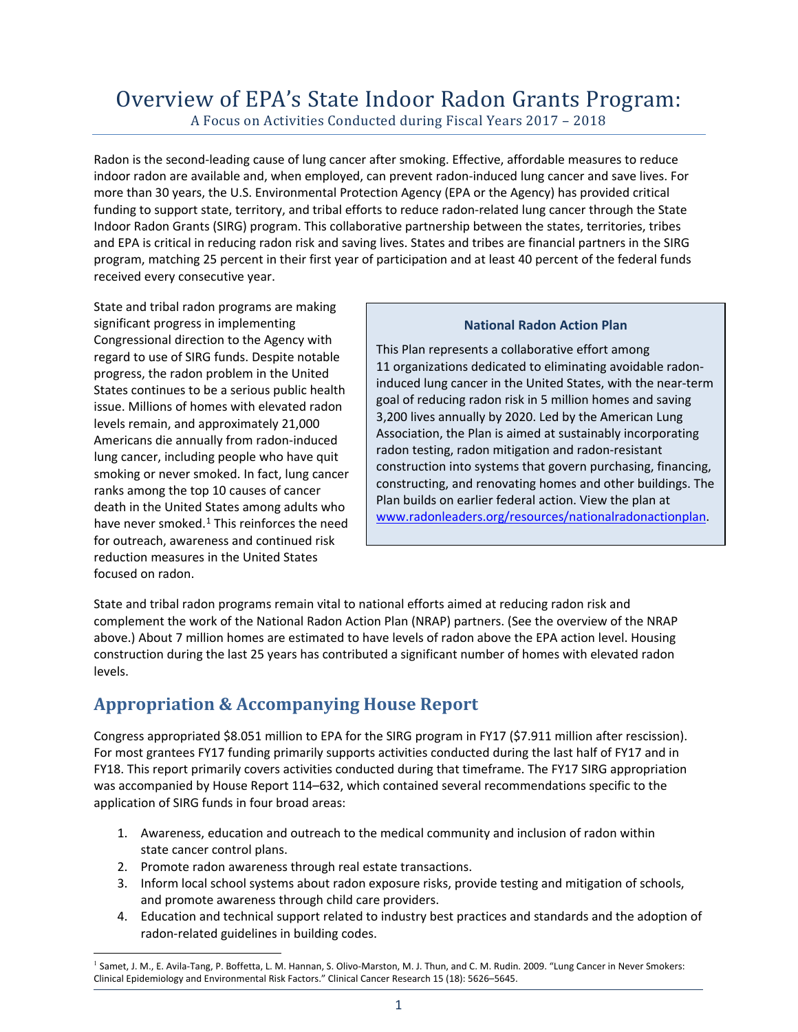# Overview of EPA's State Indoor Radon Grants Program: A Focus on Activities Conducted during Fiscal Years 2017 – <sup>2018</sup>

Radon is the second-leading cause of lung cancer after smoking. Effective, affordable measures to reduce indoor radon are available and, when employed, can prevent radon-induced lung cancer and save lives. For more than 30 years, the U.S. Environmental Protection Agency (EPA or the Agency) has provided critical funding to support state, territory, and tribal efforts to reduce radon-related lung cancer through the State Indoor Radon Grants (SIRG) program. This collaborative partnership between the states, territories, tribes and EPA is critical in reducing radon risk and saving lives. States and tribes are financial partners in the SIRG program, matching 25 percent in their first year of participation and at least 40 percent of the federal funds received every consecutive year.

State and tribal radon programs are making significant progress in implementing Congressional direction to the Agency with regard to use of SIRG funds. Despite notable progress, the radon problem in the United States continues to be a serious public health issue. Millions of homes with elevated radon levels remain, and approximately 21,000 Americans die annually from radon-induced lung cancer, including people who have quit smoking or never smoked. In fact, lung cancer ranks among the top 10 causes of cancer death in the United States among adults who have never smoked. $1$  This reinforces the need for outreach, awareness and continued risk reduction measures in the United States focused on radon.

#### **National Radon Action Plan**

This Plan represents a collaborative effort among 11 organizations dedicated to eliminating avoidable radoninduced lung cancer in the United States, with the near-term goal of reducing radon risk in 5 million homes and saving 3,200 lives annually by 2020. Led by the American Lung Association, the Plan is aimed at sustainably incorporating radon testing, radon mitigation and radon-resistant construction into systems that govern purchasing, financing, constructing, and renovating homes and other buildings. The Plan builds on earlier federal action. View the plan at [www.radonleaders.org/resources/nationalradonactionplan.](http://www.radonleaders.org/resources/nationalradonactionplan)

State and tribal radon programs remain vital to national efforts aimed at reducing radon risk and complement the work of the National Radon Action Plan (NRAP) partners. (See the overview of the NRAP above.) About 7 million homes are estimated to have levels of radon above the EPA action level. Housing construction during the last 25 years has contributed a significant number of homes with elevated radon levels.

## **Appropriation & Accompanying House Report**

Congress appropriated \$8.051 million to EPA for the SIRG program in FY17 (\$7.911 million after rescission). For most grantees FY17 funding primarily supports activities conducted during the last half of FY17 and in FY18. This report primarily covers activities conducted during that timeframe. The FY17 SIRG appropriation was accompanied by House Report 114–632, which contained several recommendations specific to the application of SIRG funds in four broad areas:

- 1. Awareness, education and outreach to the medical community and inclusion of radon within state cancer control plans.
- 2. Promote radon awareness through real estate transactions.
- 3. Inform local school systems about radon exposure risks, provide testing and mitigation of schools, and promote awareness through child care providers.
- 4. Education and technical support related to industry best practices and standards and the adoption of radon-related guidelines in building codes.

<span id="page-0-0"></span><sup>&</sup>lt;sup>1</sup> Samet, J. M., E. Avila-Tang, P. Boffetta, L. M. Hannan, S. Olivo-Marston, M. J. Thun, and C. M. Rudin. 2009. "Lung Cancer in Never Smokers: Clinical Epidemiology and Environmental Risk Factors." Clinical Cancer Research 15 (18): 5626–5645.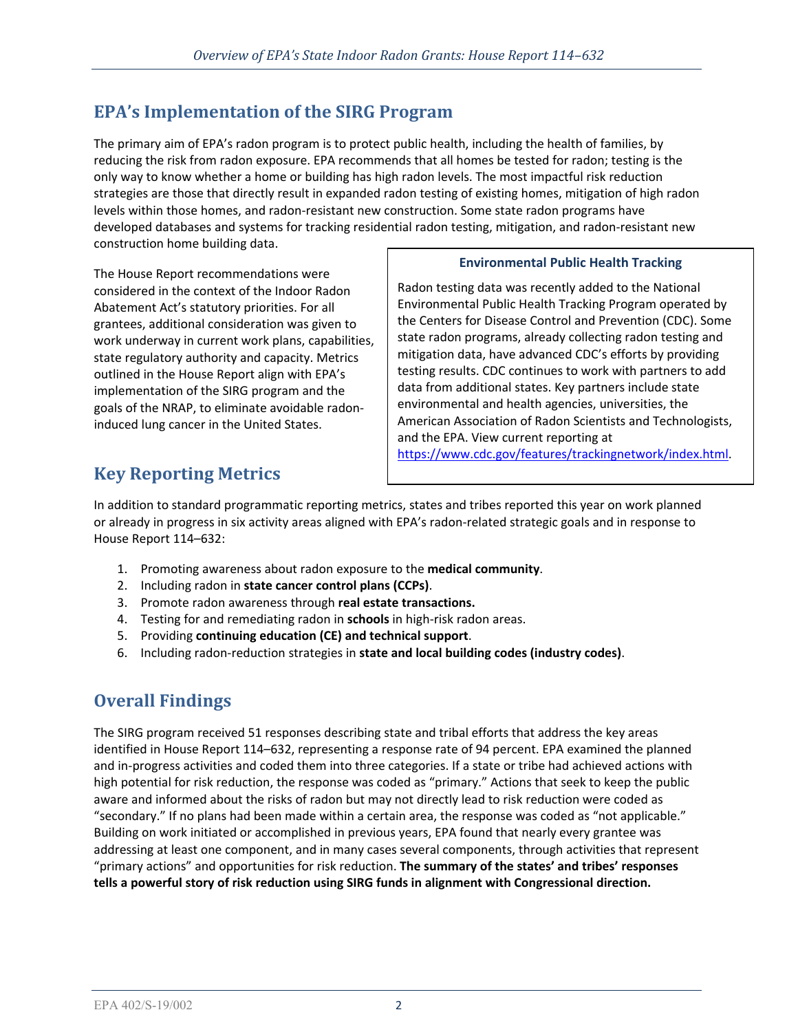# **EPA's Implementation of the SIRG Program**

The primary aim of EPA's radon program is to protect public health, including the health of families, by reducing the risk from radon exposure. EPA recommends that all homes be tested for radon; testing is the only way to know whether a home or building has high radon levels. The most impactful risk reduction strategies are those that directly result in expanded radon testing of existing homes, mitigation of high radon levels within those homes, and radon-resistant new construction. Some state radon programs have developed databases and systems for tracking residential radon testing, mitigation, and radon-resistant new construction home building data.

The House Report recommendations were considered in the context of the Indoor Radon Abatement Act's statutory priorities. For all grantees, additional consideration was given to work underway in current work plans, capabilities, state regulatory authority and capacity. Metrics outlined in the House Report align with EPA's implementation of the SIRG program and the goals of the NRAP, to eliminate avoidable radoninduced lung cancer in the United States.

## **Environmental Public Health Tracking**

Radon testing data was recently added to the National Environmental Public Health Tracking Program operated by the Centers for Disease Control and Prevention (CDC). Some state radon programs, already collecting radon testing and mitigation data, have advanced CDC's efforts by providing testing results. CDC continues to work with partners to add data from additional states. Key partners include state environmental and health agencies, universities, the American Association of Radon Scientists and Technologists, and the EPA. View current reporting at [https://www.cdc.gov/features/trackingnetwork/index.html.](https://www.cdc.gov/features/trackingnetwork/index.html)

# **Key Reporting Metrics**

In addition to standard programmatic reporting metrics, states and tribes reported this year on work planned or already in progress in six activity areas aligned with EPA's radon-related strategic goals and in response to House Report 114–632:

- 1. Promoting awareness about radon exposure to the **medical community**.
- 2. Including radon in **state cancer control plans (CCPs)**.
- 3. Promote radon awareness through **real estate transactions.**
- 4. Testing for and remediating radon in **schools** in high-risk radon areas.
- 5. Providing **continuing education (CE) and technical support**.
- 6. Including radon-reduction strategies in **state and local building codes (industry codes)**.

# **Overall Findings**

The SIRG program received 51 responses describing state and tribal efforts that address the key areas identified in House Report 114–632, representing a response rate of 94 percent. EPA examined the planned and in-progress activities and coded them into three categories. If a state or tribe had achieved actions with high potential for risk reduction, the response was coded as "primary." Actions that seek to keep the public aware and informed about the risks of radon but may not directly lead to risk reduction were coded as "secondary." If no plans had been made within a certain area, the response was coded as "not applicable." Building on work initiated or accomplished in previous years, EPA found that nearly every grantee was addressing at least one component, and in many cases several components, through activities that represent "primary actions" and opportunities for risk reduction. **The summary of the states' and tribes' responses tells a powerful story of risk reduction using SIRG funds in alignment with Congressional direction.**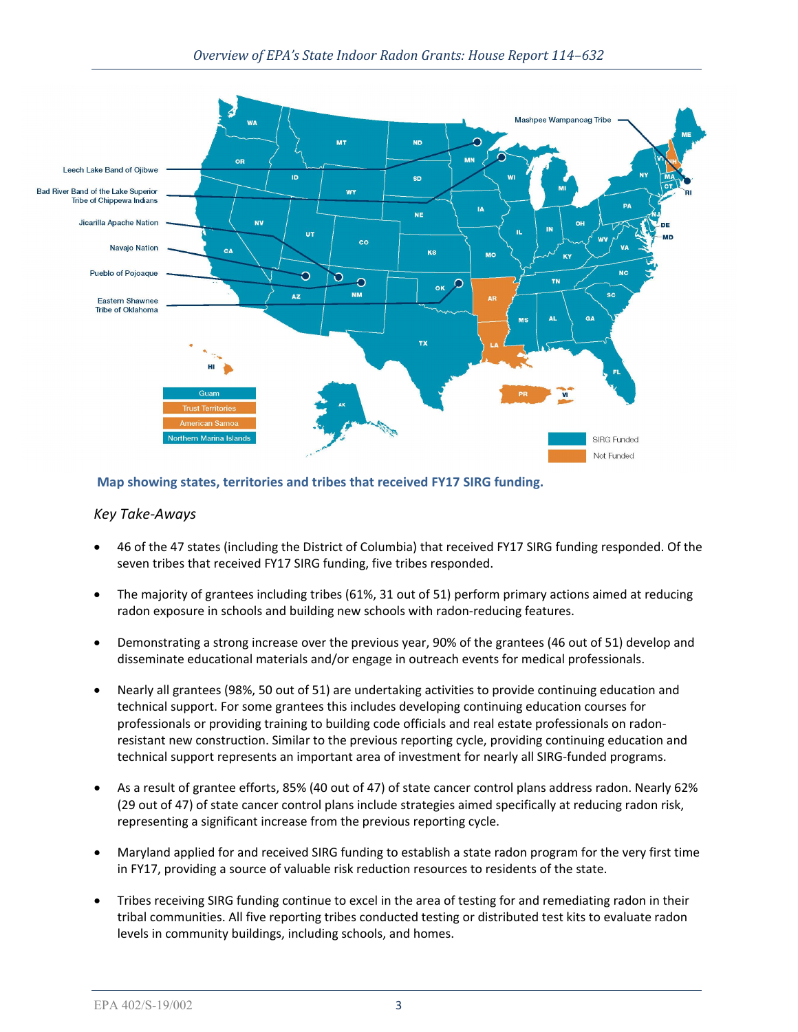

## **Map showing states, territories and tribes that received FY17 SIRG funding.**

## *Key Take-Aways*

- 46 of the 47 states (including the District of Columbia) that received FY17 SIRG funding responded. Of the seven tribes that received FY17 SIRG funding, five tribes responded.
- The majority of grantees including tribes (61%, 31 out of 51) perform primary actions aimed at reducing radon exposure in schools and building new schools with radon-reducing features.
- Demonstrating a strong increase over the previous year, 90% of the grantees (46 out of 51) develop and disseminate educational materials and/or engage in outreach events for medical professionals.
- Nearly all grantees (98%, 50 out of 51) are undertaking activities to provide continuing education and technical support. For some grantees this includes developing continuing education courses for professionals or providing training to building code officials and real estate professionals on radonresistant new construction. Similar to the previous reporting cycle, providing continuing education and technical support represents an important area of investment for nearly all SIRG-funded programs.
- As a result of grantee efforts, 85% (40 out of 47) of state cancer control plans address radon. Nearly 62% (29 out of 47) of state cancer control plans include strategies aimed specifically at reducing radon risk, representing a significant increase from the previous reporting cycle.
- Maryland applied for and received SIRG funding to establish a state radon program for the very first time in FY17, providing a source of valuable risk reduction resources to residents of the state.
- Tribes receiving SIRG funding continue to excel in the area of testing for and remediating radon in their tribal communities. All five reporting tribes conducted testing or distributed test kits to evaluate radon levels in community buildings, including schools, and homes.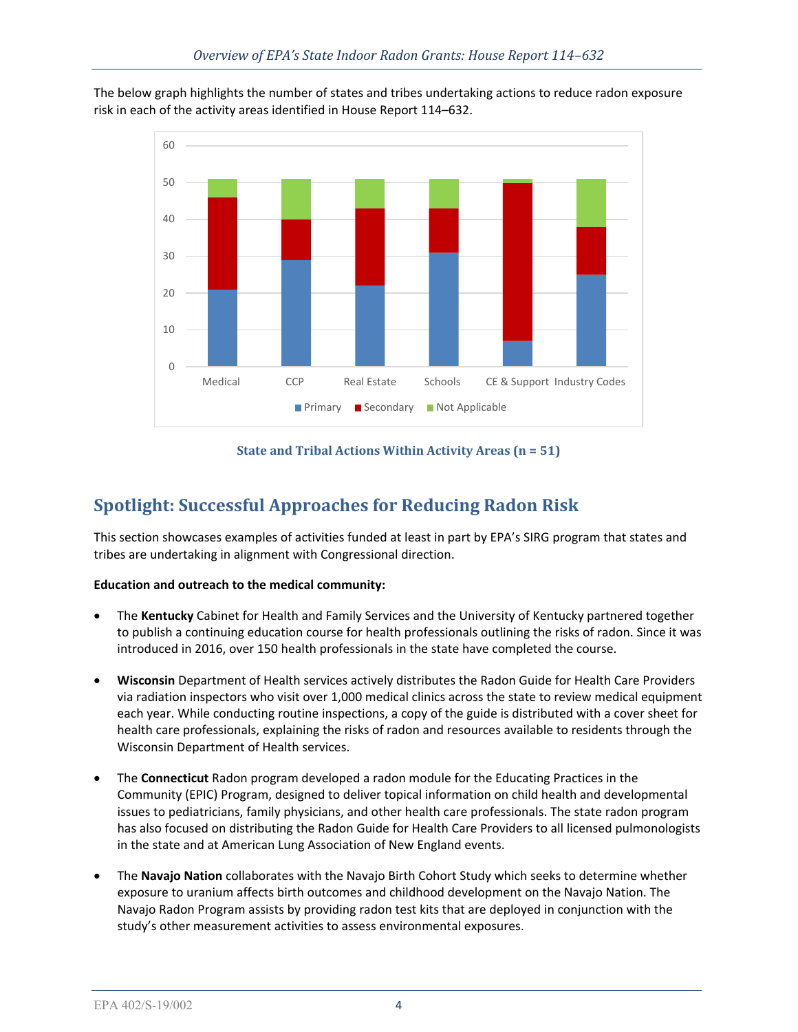The below graph highlights the number of states and tribes undertaking actions to reduce radon exposure risk in each of the activity areas identified in House Report 114–632.



## **State and Tribal Actions Within Activity Areas (n = 51)**

## **Spotlight: Successful Approaches for Reducing Radon Risk**

This section showcases examples of activities funded at least in part by EPA's SIRG program that states and tribes are undertaking in alignment with Congressional direction.

## **Education and outreach to the medical community:**

- The **Kentucky** Cabinet for Health and Family Services and the University of Kentucky partnered together to publish a continuing education course for health professionals outlining the risks of radon. Since it was introduced in 2016, over 150 health professionals in the state have completed the course.
- **Wisconsin** Department of Health services actively distributes the Radon Guide for Health Care Providers via radiation inspectors who visit over 1,000 medical clinics across the state to review medical equipment each year. While conducting routine inspections, a copy of the guide is distributed with a cover sheet for health care professionals, explaining the risks of radon and resources available to residents through the Wisconsin Department of Health services.
- The **Connecticut** Radon program developed a radon module for the Educating Practices in the Community (EPIC) Program, designed to deliver topical information on child health and developmental issues to pediatricians, family physicians, and other health care professionals. The state radon program has also focused on distributing the Radon Guide for Health Care Providers to all licensed pulmonologists in the state and at American Lung Association of New England events.
- The **Navajo Nation** collaborates with the Navajo Birth Cohort Study which seeks to determine whether exposure to uranium affects birth outcomes and childhood development on the Navajo Nation. The Navajo Radon Program assists by providing radon test kits that are deployed in conjunction with the study's other measurement activities to assess environmental exposures.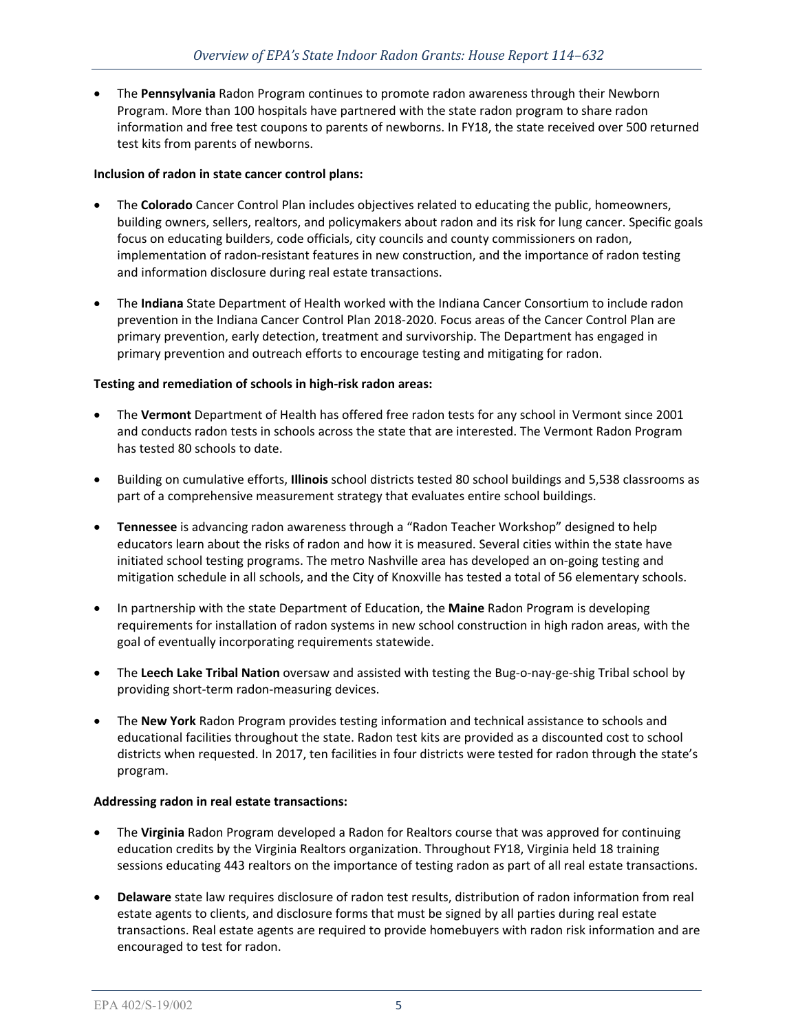• The **Pennsylvania** Radon Program continues to promote radon awareness through their Newborn Program. More than 100 hospitals have partnered with the state radon program to share radon information and free test coupons to parents of newborns. In FY18, the state received over 500 returned test kits from parents of newborns.

## **Inclusion of radon in state cancer control plans:**

- The **Colorado** Cancer Control Plan includes objectives related to educating the public, homeowners, building owners, sellers, realtors, and policymakers about radon and its risk for lung cancer. Specific goals focus on educating builders, code officials, city councils and county commissioners on radon, implementation of radon-resistant features in new construction, and the importance of radon testing and information disclosure during real estate transactions.
- The **Indiana** State Department of Health worked with the Indiana Cancer Consortium to include radon prevention in the Indiana Cancer Control Plan 2018-2020. Focus areas of the Cancer Control Plan are primary prevention, early detection, treatment and survivorship. The Department has engaged in primary prevention and outreach efforts to encourage testing and mitigating for radon.

## **Testing and remediation of schools in high-risk radon areas:**

- The **Vermont** Department of Health has offered free radon tests for any school in Vermont since 2001 and conducts radon tests in schools across the state that are interested. The Vermont Radon Program has tested 80 schools to date.
- Building on cumulative efforts, **Illinois** school districts tested 80 school buildings and 5,538 classrooms as part of a comprehensive measurement strategy that evaluates entire school buildings.
- **Tennessee** is advancing radon awareness through a "Radon Teacher Workshop" designed to help educators learn about the risks of radon and how it is measured. Several cities within the state have initiated school testing programs. The metro Nashville area has developed an on-going testing and mitigation schedule in all schools, and the City of Knoxville has tested a total of 56 elementary schools.
- In partnership with the state Department of Education, the **Maine** Radon Program is developing requirements for installation of radon systems in new school construction in high radon areas, with the goal of eventually incorporating requirements statewide.
- The **Leech Lake Tribal Nation** oversaw and assisted with testing the Bug-o-nay-ge-shig Tribal school by providing short-term radon-measuring devices.
- The **New York** Radon Program provides testing information and technical assistance to schools and educational facilities throughout the state. Radon test kits are provided as a discounted cost to school districts when requested. In 2017, ten facilities in four districts were tested for radon through the state's program.

#### **Addressing radon in real estate transactions:**

- The **Virginia** Radon Program developed a Radon for Realtors course that was approved for continuing education credits by the Virginia Realtors organization. Throughout FY18, Virginia held 18 training sessions educating 443 realtors on the importance of testing radon as part of all real estate transactions.
- **Delaware** state law requires disclosure of radon test results, distribution of radon information from real estate agents to clients, and disclosure forms that must be signed by all parties during real estate transactions. Real estate agents are required to provide homebuyers with radon risk information and are encouraged to test for radon.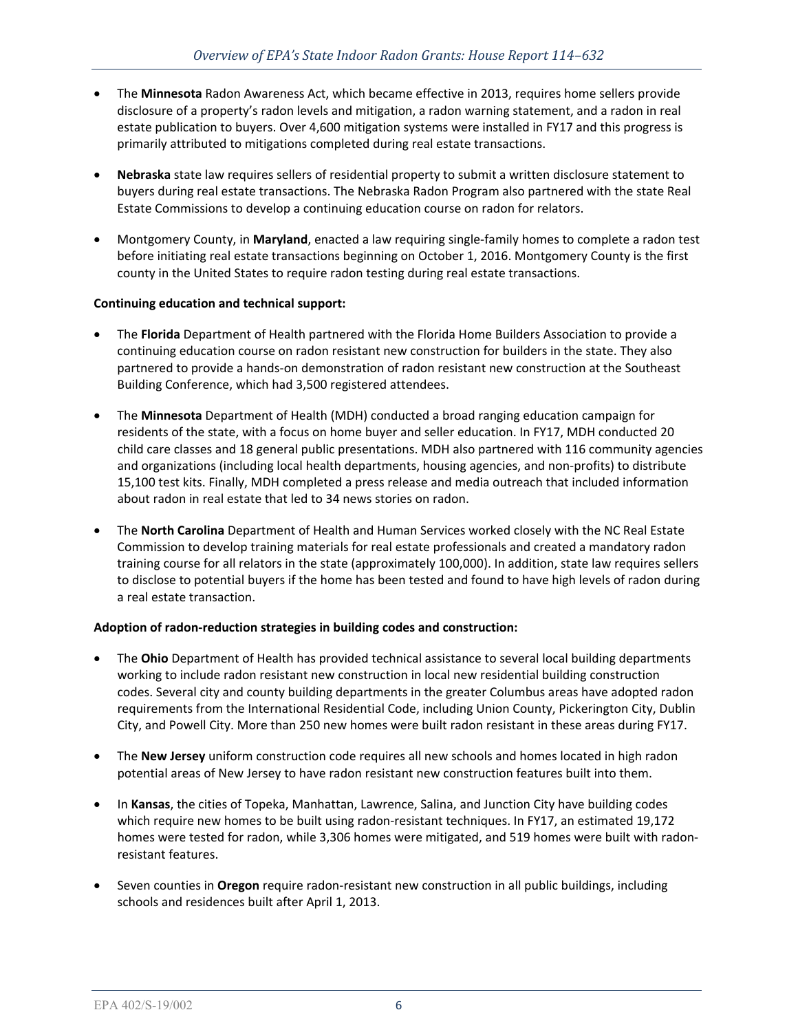- The **Minnesota** Radon Awareness Act, which became effective in 2013, requires home sellers provide disclosure of a property's radon levels and mitigation, a radon warning statement, and a radon in real estate publication to buyers. Over 4,600 mitigation systems were installed in FY17 and this progress is primarily attributed to mitigations completed during real estate transactions.
- **Nebraska** state law requires sellers of residential property to submit a written disclosure statement to buyers during real estate transactions. The Nebraska Radon Program also partnered with the state Real Estate Commissions to develop a continuing education course on radon for relators.
- Montgomery County, in **Maryland**, enacted a law requiring single-family homes to complete a radon test before initiating real estate transactions beginning on October 1, 2016. Montgomery County is the first county in the United States to require radon testing during real estate transactions.

## **Continuing education and technical support:**

- The **Florida** Department of Health partnered with the Florida Home Builders Association to provide a continuing education course on radon resistant new construction for builders in the state. They also partnered to provide a hands-on demonstration of radon resistant new construction at the Southeast Building Conference, which had 3,500 registered attendees.
- The **Minnesota** Department of Health (MDH) conducted a broad ranging education campaign for residents of the state, with a focus on home buyer and seller education. In FY17, MDH conducted 20 child care classes and 18 general public presentations. MDH also partnered with 116 community agencies and organizations (including local health departments, housing agencies, and non-profits) to distribute 15,100 test kits. Finally, MDH completed a press release and media outreach that included information about radon in real estate that led to 34 news stories on radon.
- The **North Carolina** Department of Health and Human Services worked closely with the NC Real Estate Commission to develop training materials for real estate professionals and created a mandatory radon training course for all relators in the state (approximately 100,000). In addition, state law requires sellers to disclose to potential buyers if the home has been tested and found to have high levels of radon during a real estate transaction.

## **Adoption of radon-reduction strategies in building codes and construction:**

- The **Ohio** Department of Health has provided technical assistance to several local building departments working to include radon resistant new construction in local new residential building construction codes. Several city and county building departments in the greater Columbus areas have adopted radon requirements from the International Residential Code, including Union County, Pickerington City, Dublin City, and Powell City. More than 250 new homes were built radon resistant in these areas during FY17.
- The **New Jersey** uniform construction code requires all new schools and homes located in high radon potential areas of New Jersey to have radon resistant new construction features built into them.
- In **Kansas**, the cities of Topeka, Manhattan, Lawrence, Salina, and Junction City have building codes which require new homes to be built using radon-resistant techniques. In FY17, an estimated 19,172 homes were tested for radon, while 3,306 homes were mitigated, and 519 homes were built with radonresistant features.
- Seven counties in **Oregon** require radon-resistant new construction in all public buildings, including schools and residences built after April 1, 2013.